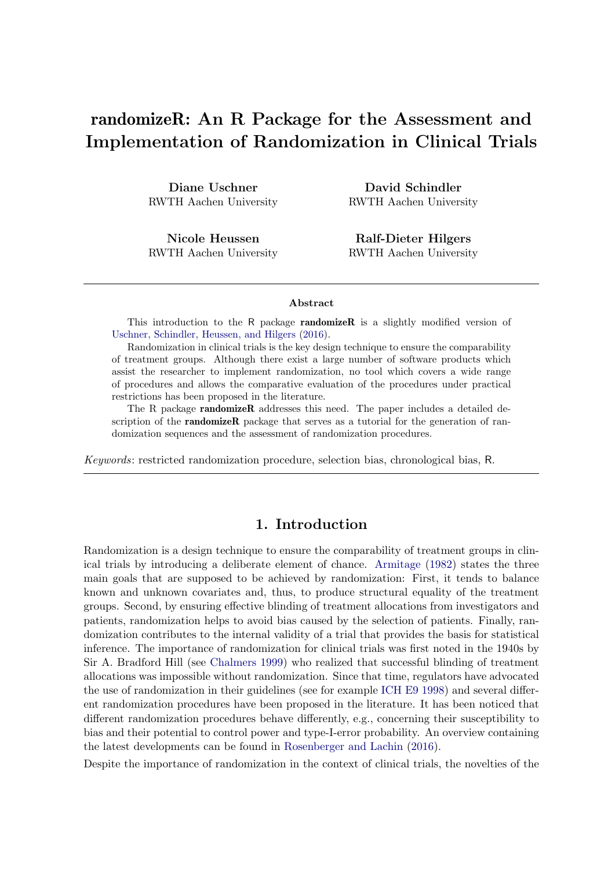# randomizeR: An R Package for the Assessment and Implementation of Randomization in Clinical Trials

Diane Uschner RWTH Aachen University

Nicole Heussen RWTH Aachen University

David Schindler RWTH Aachen University

Ralf-Dieter Hilgers RWTH Aachen University

#### Abstract

This introduction to the R package **randomizeR** is a slightly modified version of [Uschner, Schindler, Heussen, and Hilgers](#page-18-0) [\(2016\)](#page-18-0).

Randomization in clinical trials is the key design technique to ensure the comparability of treatment groups. Although there exist a large number of software products which assist the researcher to implement randomization, no tool which covers a wide range of procedures and allows the comparative evaluation of the procedures under practical restrictions has been proposed in the literature.

The R package **randomizeR** addresses this need. The paper includes a detailed description of the **randomizeR** package that serves as a tutorial for the generation of randomization sequences and the assessment of randomization procedures.

Keywords: restricted randomization procedure, selection bias, chronological bias, R.

# 1. Introduction

Randomization is a design technique to ensure the comparability of treatment groups in clinical trials by introducing a deliberate element of chance. [Armitage](#page-16-0) [\(1982\)](#page-16-0) states the three main goals that are supposed to be achieved by randomization: First, it tends to balance known and unknown covariates and, thus, to produce structural equality of the treatment groups. Second, by ensuring effective blinding of treatment allocations from investigators and patients, randomization helps to avoid bias caused by the selection of patients. Finally, randomization contributes to the internal validity of a trial that provides the basis for statistical inference. The importance of randomization for clinical trials was first noted in the 1940s by Sir A. Bradford Hill (see [Chalmers](#page-17-0) [1999\)](#page-17-0) who realized that successful blinding of treatment allocations was impossible without randomization. Since that time, regulators have advocated the use of randomization in their guidelines (see for example [ICH E9](#page-17-1) [1998\)](#page-17-1) and several different randomization procedures have been proposed in the literature. It has been noticed that different randomization procedures behave differently, e.g., concerning their susceptibility to bias and their potential to control power and type-I-error probability. An overview containing the latest developments can be found in [Rosenberger and Lachin](#page-17-2) [\(2016\)](#page-17-2).

Despite the importance of randomization in the context of clinical trials, the novelties of the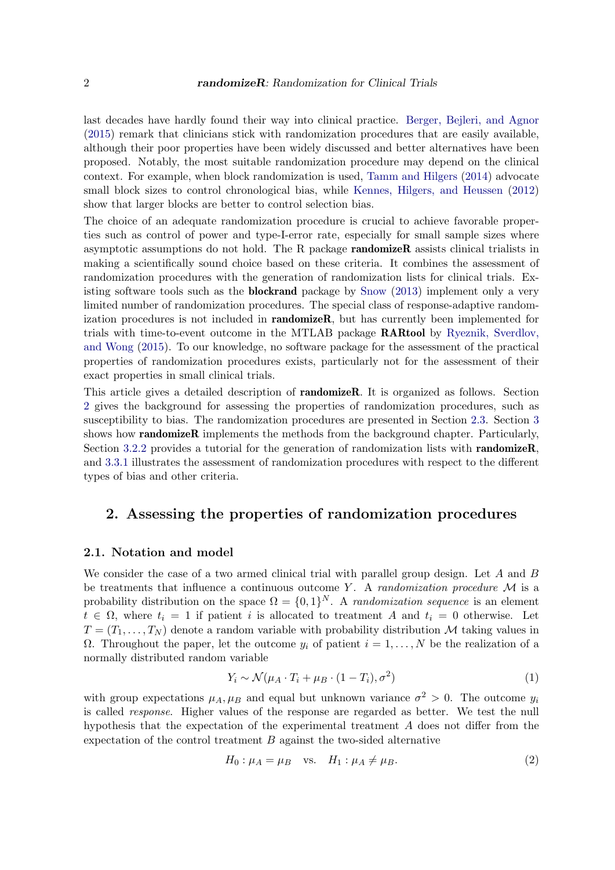last decades have hardly found their way into clinical practice. [Berger, Bejleri, and Agnor](#page-16-1) [\(2015\)](#page-16-1) remark that clinicians stick with randomization procedures that are easily available, although their poor properties have been widely discussed and better alternatives have been proposed. Notably, the most suitable randomization procedure may depend on the clinical context. For example, when block randomization is used, [Tamm and Hilgers](#page-18-1) [\(2014\)](#page-18-1) advocate small block sizes to control chronological bias, while [Kennes, Hilgers, and Heussen](#page-17-3) [\(2012\)](#page-17-3) show that larger blocks are better to control selection bias.

The choice of an adequate randomization procedure is crucial to achieve favorable properties such as control of power and type-I-error rate, especially for small sample sizes where asymptotic assumptions do not hold. The R package randomizeR assists clinical trialists in making a scientifically sound choice based on these criteria. It combines the assessment of randomization procedures with the generation of randomization lists for clinical trials. Existing software tools such as the **blockrand** package by [Snow](#page-18-2) [\(2013\)](#page-18-2) implement only a very limited number of randomization procedures. The special class of response-adaptive randomization procedures is not included in **randomizeR**, but has currently been implemented for trials with time-to-event outcome in the MTLAB package RARtool by [Ryeznik, Sverdlov,](#page-18-3) [and Wong](#page-18-3) [\(2015\)](#page-18-3). To our knowledge, no software package for the assessment of the practical properties of randomization procedures exists, particularly not for the assessment of their exact properties in small clinical trials.

This article gives a detailed description of randomizeR. It is organized as follows. Section [2](#page-1-0) gives the background for assessing the properties of randomization procedures, such as susceptibility to bias. The randomization procedures are presented in Section [2.3.](#page-3-0) Section [3](#page-7-0) shows how **randomizeR** implements the methods from the background chapter. Particularly, Section [3.2.2](#page-8-0) provides a tutorial for the generation of randomization lists with **randomizeR**, and [3.3.1](#page-12-0) illustrates the assessment of randomization procedures with respect to the different types of bias and other criteria.

## <span id="page-1-0"></span>2. Assessing the properties of randomization procedures

## 2.1. Notation and model

We consider the case of a two armed clinical trial with parallel group design. Let  $A$  and  $B$ be treatments that influence a continuous outcome Y. A *randomization procedure*  $\mathcal M$  is a probability distribution on the space  $\Omega = \{0,1\}^N$ . A *randomization sequence* is an element  $t \in \Omega$ , where  $t_i = 1$  if patient i is allocated to treatment A and  $t_i = 0$  otherwise. Let  $T=(T_1,\ldots,T_N)$  denote a random variable with probability distribution M taking values in  $Ω.$  Throughout the paper, let the outcome  $y_i$  of patient  $i = 1, ..., N$  be the realization of a normally distributed random variable

<span id="page-1-1"></span>
$$
Y_i \sim \mathcal{N}(\mu_A \cdot T_i + \mu_B \cdot (1 - T_i), \sigma^2)
$$
 (1)

with group expectations  $\mu_A, \mu_B$  and equal but unknown variance  $\sigma^2 > 0$ . The outcome  $y_i$ is called response. Higher values of the response are regarded as better. We test the null hypothesis that the expectation of the experimental treatment A does not differ from the expectation of the control treatment  $B$  against the two-sided alternative

$$
H_0: \mu_A = \mu_B \quad \text{vs.} \quad H_1: \mu_A \neq \mu_B. \tag{2}
$$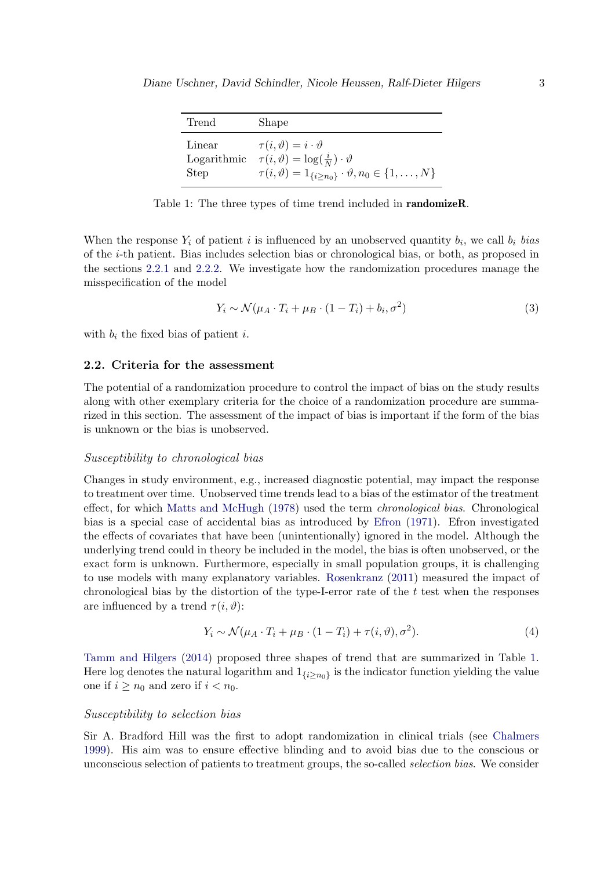<span id="page-2-2"></span>

| Trend                 | Shape                                                                                                                                                                                             |
|-----------------------|---------------------------------------------------------------------------------------------------------------------------------------------------------------------------------------------------|
| Linear<br><b>Step</b> | $\tau(i,\vartheta)=i\cdot\vartheta$<br>Logarithmic $\tau(i, \vartheta) = \log(\frac{i}{N}) \cdot \vartheta$<br>$\tau(i, \vartheta) = 1_{\{i \ge n_0\}} \cdot \vartheta, n_0 \in \{1, \ldots, N\}$ |

Table 1: The three types of time trend included in **randomizeR**.

When the response  $Y_i$  of patient i is influenced by an unobserved quantity  $b_i$ , we call  $b_i$  bias of the i-th patient. Bias includes selection bias or chronological bias, or both, as proposed in the sections [2.2.1](#page-2-0) and [2.2.2.](#page-2-1) We investigate how the randomization procedures manage the misspecification of the model

<span id="page-2-3"></span>
$$
Y_i \sim \mathcal{N}(\mu_A \cdot T_i + \mu_B \cdot (1 - T_i) + b_i, \sigma^2)
$$
 (3)

with  $b_i$  the fixed bias of patient i.

#### <span id="page-2-4"></span>2.2. Criteria for the assessment

The potential of a randomization procedure to control the impact of bias on the study results along with other exemplary criteria for the choice of a randomization procedure are summarized in this section. The assessment of the impact of bias is important if the form of the bias is unknown or the bias is unobserved.

#### <span id="page-2-0"></span>Susceptibility to chronological bias

Changes in study environment, e.g., increased diagnostic potential, may impact the response to treatment over time. Unobserved time trends lead to a bias of the estimator of the treatment effect, for which [Matts and McHugh](#page-17-4) [\(1978\)](#page-17-4) used the term chronological bias. Chronological bias is a special case of accidental bias as introduced by [Efron](#page-17-5) [\(1971\)](#page-17-5). Efron investigated the effects of covariates that have been (unintentionally) ignored in the model. Although the underlying trend could in theory be included in the model, the bias is often unobserved, or the exact form is unknown. Furthermore, especially in small population groups, it is challenging to use models with many explanatory variables. [Rosenkranz](#page-17-6) [\(2011\)](#page-17-6) measured the impact of chronological bias by the distortion of the type-I-error rate of the  $t$  test when the responses are influenced by a trend  $\tau(i, \vartheta)$ :

$$
Y_i \sim \mathcal{N}(\mu_A \cdot T_i + \mu_B \cdot (1 - T_i) + \tau(i, \vartheta), \sigma^2). \tag{4}
$$

[Tamm and Hilgers](#page-18-1) [\(2014\)](#page-18-1) proposed three shapes of trend that are summarized in Table [1.](#page-2-2) Here log denotes the natural logarithm and  $1_{\{i\geq n_0\}}$  is the indicator function yielding the value one if  $i \geq n_0$  and zero if  $i < n_0$ .

## <span id="page-2-1"></span>Susceptibility to selection bias

Sir A. Bradford Hill was the first to adopt randomization in clinical trials (see [Chalmers](#page-17-0) [1999\)](#page-17-0). His aim was to ensure effective blinding and to avoid bias due to the conscious or unconscious selection of patients to treatment groups, the so-called selection bias. We consider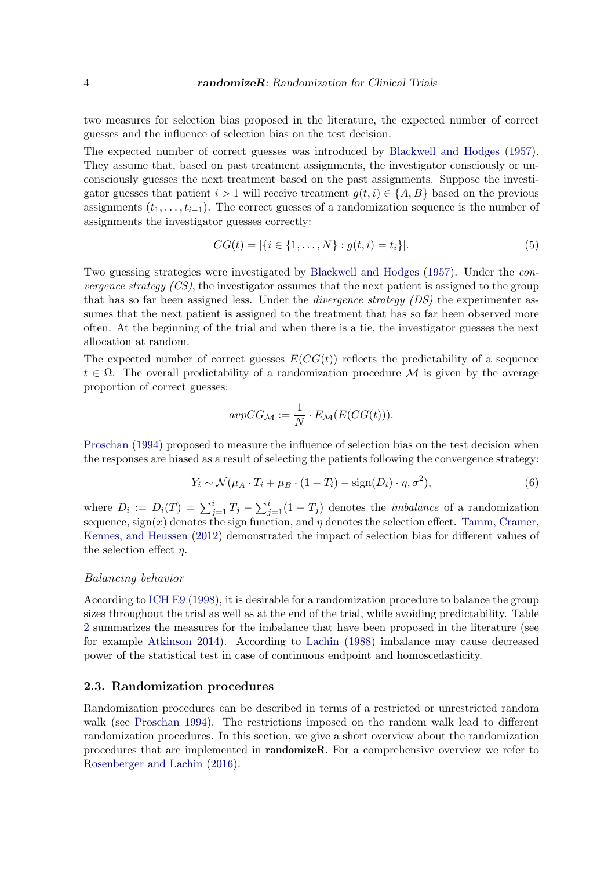two measures for selection bias proposed in the literature, the expected number of correct guesses and the influence of selection bias on the test decision.

The expected number of correct guesses was introduced by [Blackwell and Hodges](#page-17-7) [\(1957\)](#page-17-7). They assume that, based on past treatment assignments, the investigator consciously or unconsciously guesses the next treatment based on the past assignments. Suppose the investigator guesses that patient  $i > 1$  will receive treatment  $q(t, i) \in \{A, B\}$  based on the previous assignments  $(t_1, \ldots, t_{i-1})$ . The correct guesses of a randomization sequence is the number of assignments the investigator guesses correctly:

$$
CG(t) = |\{i \in \{1, ..., N\} : g(t, i) = t_i\}|. \tag{5}
$$

Two guessing strategies were investigated by [Blackwell and Hodges](#page-17-7) [\(1957\)](#page-17-7). Under the con*vergence strategy*  $(CS)$ *,* the investigator assumes that the next patient is assigned to the group that has so far been assigned less. Under the *divergence strategy (DS)* the experimenter assumes that the next patient is assigned to the treatment that has so far been observed more often. At the beginning of the trial and when there is a tie, the investigator guesses the next allocation at random.

The expected number of correct guesses  $E(CG(t))$  reflects the predictability of a sequence  $t \in \Omega$ . The overall predictability of a randomization procedure M is given by the average proportion of correct guesses:

$$
avpCG_{\mathcal{M}} := \frac{1}{N} \cdot E_{\mathcal{M}}(E(CG(t))).
$$

[Proschan](#page-17-8) [\(1994\)](#page-17-8) proposed to measure the influence of selection bias on the test decision when the responses are biased as a result of selecting the patients following the convergence strategy:

$$
Y_i \sim \mathcal{N}(\mu_A \cdot T_i + \mu_B \cdot (1 - T_i) - \text{sign}(D_i) \cdot \eta, \sigma^2),\tag{6}
$$

where  $D_i := D_i(T) = \sum_{j=1}^i T_j - \sum_{j=1}^i (1 - T_j)$  denotes the *imbalance* of a randomization sequence,  $sign(x)$  denotes the sign function, and  $\eta$  denotes the selection effect. [Tamm, Cramer,](#page-18-4) [Kennes, and Heussen](#page-18-4) [\(2012\)](#page-18-4) demonstrated the impact of selection bias for different values of the selection effect  $n$ .

## Balancing behavior

According to [ICH E9](#page-17-1) [\(1998\)](#page-17-1), it is desirable for a randomization procedure to balance the group sizes throughout the trial as well as at the end of the trial, while avoiding predictability. Table [2](#page-4-0) summarizes the measures for the imbalance that have been proposed in the literature (see for example [Atkinson](#page-16-2) [2014\)](#page-16-2). According to [Lachin](#page-17-9) [\(1988\)](#page-17-9) imbalance may cause decreased power of the statistical test in case of continuous endpoint and homoscedasticity.

#### <span id="page-3-0"></span>2.3. Randomization procedures

Randomization procedures can be described in terms of a restricted or unrestricted random walk (see [Proschan](#page-17-8) [1994\)](#page-17-8). The restrictions imposed on the random walk lead to different randomization procedures. In this section, we give a short overview about the randomization procedures that are implemented in randomizeR. For a comprehensive overview we refer to [Rosenberger and Lachin](#page-17-2) [\(2016\)](#page-17-2).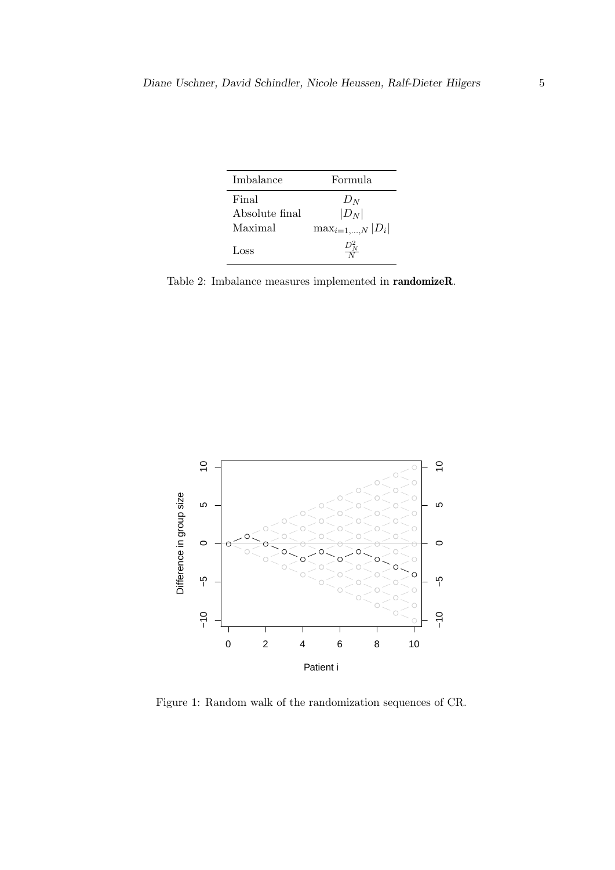| Imbalance                          | Formula                                         |  |
|------------------------------------|-------------------------------------------------|--|
| Final<br>Absolute final<br>Maximal | $D_N$<br>$ D_N $<br>$\max_{i=1,\ldots,N}  D_i $ |  |
| Loss                               |                                                 |  |

<span id="page-4-0"></span>Table 2: Imbalance measures implemented in randomizeR.

<span id="page-4-1"></span>

Figure 1: Random walk of the randomization sequences of CR.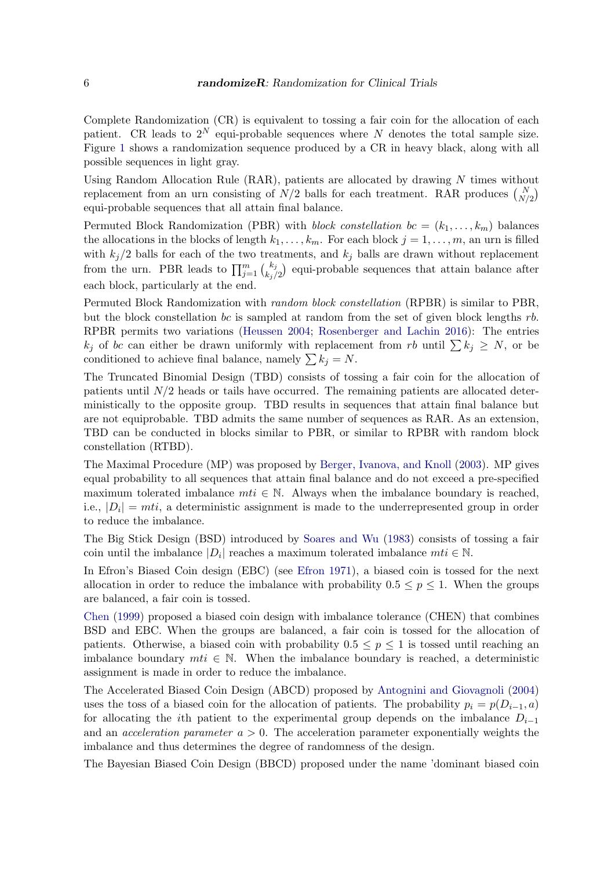Complete Randomization (CR) is equivalent to tossing a fair coin for the allocation of each patient. CR leads to  $2^N$  equi-probable sequences where N denotes the total sample size. Figure [1](#page-4-1) shows a randomization sequence produced by a CR in heavy black, along with all possible sequences in light gray.

Using Random Allocation Rule (RAR), patients are allocated by drawing N times without replacement from an urn consisting of  $N/2$  balls for each treatment. RAR produces  $\binom{N}{N/2}$ equi-probable sequences that all attain final balance.

Permuted Block Randomization (PBR) with *block constellation*  $bc = (k_1, \ldots, k_m)$  balances the allocations in the blocks of length  $k_1, \ldots, k_m$ . For each block  $j = 1, \ldots, m$ , an urn is filled with  $k_j/2$  balls for each of the two treatments, and  $k_j$  balls are drawn without replacement from the urn. PBR leads to  $\prod_{j=1}^m \binom{k_j}{k_j/2}$  equi-probable sequences that attain balance after each block, particularly at the end.

Permuted Block Randomization with random block constellation (RPBR) is similar to PBR, but the block constellation bc is sampled at random from the set of given block lengths  $rb$ . RPBR permits two variations [\(Heussen](#page-17-10) [2004;](#page-17-10) [Rosenberger and Lachin](#page-17-2) [2016\)](#page-17-2): The entries  $k_i$  of bc can either be drawn uniformly with replacement from rb until  $\sum k_i \geq N$ , or be conditioned to achieve final balance, namely  $\sum k_i = N$ .

The Truncated Binomial Design (TBD) consists of tossing a fair coin for the allocation of patients until  $N/2$  heads or tails have occurred. The remaining patients are allocated deterministically to the opposite group. TBD results in sequences that attain final balance but are not equiprobable. TBD admits the same number of sequences as RAR. As an extension, TBD can be conducted in blocks similar to PBR, or similar to RPBR with random block constellation (RTBD).

The Maximal Procedure (MP) was proposed by [Berger, Ivanova, and Knoll](#page-17-11) [\(2003\)](#page-17-11). MP gives equal probability to all sequences that attain final balance and do not exceed a pre-specified maximum tolerated imbalance  $m t i \in \mathbb{N}$ . Always when the imbalance boundary is reached, i.e.,  $|D_i| = mli$ , a deterministic assignment is made to the underrepresented group in order to reduce the imbalance.

The Big Stick Design (BSD) introduced by [Soares and Wu](#page-18-5) [\(1983\)](#page-18-5) consists of tossing a fair coin until the imbalance  $|D_i|$  reaches a maximum tolerated imbalance  $m t_i \in \mathbb{N}$ .

In Efron's Biased Coin design (EBC) (see [Efron](#page-17-5) [1971\)](#page-17-5), a biased coin is tossed for the next allocation in order to reduce the imbalance with probability  $0.5 \leq p \leq 1$ . When the groups are balanced, a fair coin is tossed.

[Chen](#page-17-12) [\(1999\)](#page-17-12) proposed a biased coin design with imbalance tolerance (CHEN) that combines BSD and EBC. When the groups are balanced, a fair coin is tossed for the allocation of patients. Otherwise, a biased coin with probability  $0.5 \leq p \leq 1$  is tossed until reaching an imbalance boundary  $mti \in \mathbb{N}$ . When the imbalance boundary is reached, a deterministic assignment is made in order to reduce the imbalance.

The Accelerated Biased Coin Design (ABCD) proposed by [Antognini and Giovagnoli](#page-16-3) [\(2004\)](#page-16-3) uses the toss of a biased coin for the allocation of patients. The probability  $p_i = p(D_{i-1}, a)$ for allocating the *i*th patient to the experimental group depends on the imbalance  $D_{i-1}$ and an *acceleration parameter*  $a > 0$ . The acceleration parameter exponentially weights the imbalance and thus determines the degree of randomness of the design.

The Bayesian Biased Coin Design (BBCD) proposed under the name 'dominant biased coin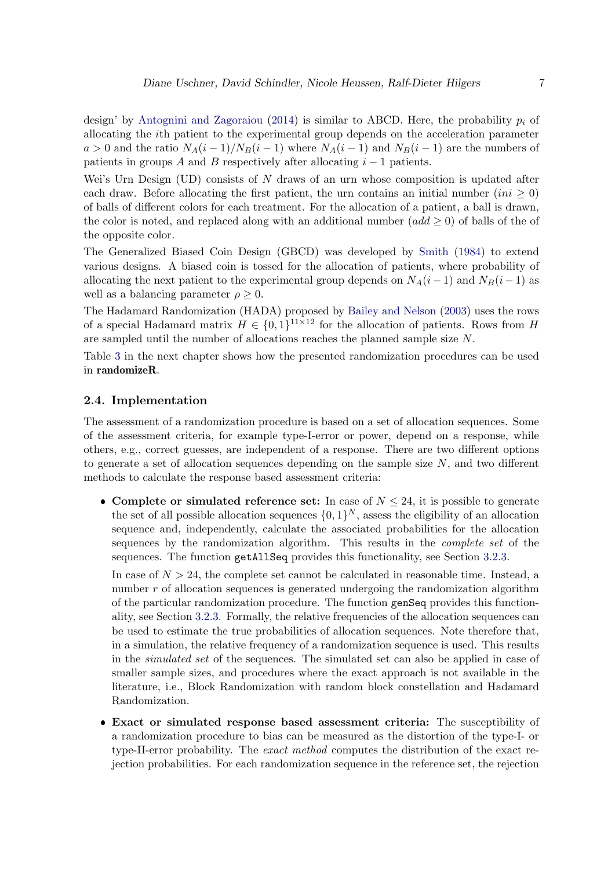design' by [Antognini and Zagoraiou](#page-16-4) [\(2014\)](#page-16-4) is similar to ABCD. Here, the probability  $p_i$  of allocating the ith patient to the experimental group depends on the acceleration parameter  $a > 0$  and the ratio  $N_A(i-1)/N_B(i-1)$  where  $N_A(i-1)$  and  $N_B(i-1)$  are the numbers of patients in groups A and B respectively after allocating  $i - 1$  patients.

Wei's Urn Design (UD) consists of  $N$  draws of an urn whose composition is updated after each draw. Before allocating the first patient, the urn contains an initial number  $(ini \geq 0)$ of balls of different colors for each treatment. For the allocation of a patient, a ball is drawn, the color is noted, and replaced along with an additional number  $(add \geq 0)$  of balls of the of the opposite color.

The Generalized Biased Coin Design (GBCD) was developed by [Smith](#page-18-6) [\(1984\)](#page-18-6) to extend various designs. A biased coin is tossed for the allocation of patients, where probability of allocating the next patient to the experimental group depends on  $N_A(i-1)$  and  $N_B(i-1)$  as well as a balancing parameter  $\rho \geq 0$ .

The Hadamard Randomization (HADA) proposed by [Bailey and Nelson](#page-16-5) [\(2003\)](#page-16-5) uses the rows of a special Hadamard matrix  $H \in \{0,1\}^{11 \times 12}$  for the allocation of patients. Rows from H are sampled until the number of allocations reaches the planned sample size N.

Table [3](#page-9-0) in the next chapter shows how the presented randomization procedures can be used in randomizeR.

## <span id="page-6-0"></span>2.4. Implementation

The assessment of a randomization procedure is based on a set of allocation sequences. Some of the assessment criteria, for example type-I-error or power, depend on a response, while others, e.g., correct guesses, are independent of a response. There are two different options to generate a set of allocation sequences depending on the sample size  $N$ , and two different methods to calculate the response based assessment criteria:

• Complete or simulated reference set: In case of  $N \leq 24$ , it is possible to generate the set of all possible allocation sequences  $\{0,1\}^N$ , assess the eligibility of an allocation sequence and, independently, calculate the associated probabilities for the allocation sequences by the randomization algorithm. This results in the complete set of the sequences. The function getAllSeq provides this functionality, see Section [3.2.3.](#page-10-0)

In case of  $N > 24$ , the complete set cannot be calculated in reasonable time. Instead, a number r of allocation sequences is generated undergoing the randomization algorithm of the particular randomization procedure. The function genSeq provides this functionality, see Section [3.2.3.](#page-10-0) Formally, the relative frequencies of the allocation sequences can be used to estimate the true probabilities of allocation sequences. Note therefore that, in a simulation, the relative frequency of a randomization sequence is used. This results in the simulated set of the sequences. The simulated set can also be applied in case of smaller sample sizes, and procedures where the exact approach is not available in the literature, i.e., Block Randomization with random block constellation and Hadamard Randomization.

 Exact or simulated response based assessment criteria: The susceptibility of a randomization procedure to bias can be measured as the distortion of the type-I- or type-II-error probability. The exact method computes the distribution of the exact rejection probabilities. For each randomization sequence in the reference set, the rejection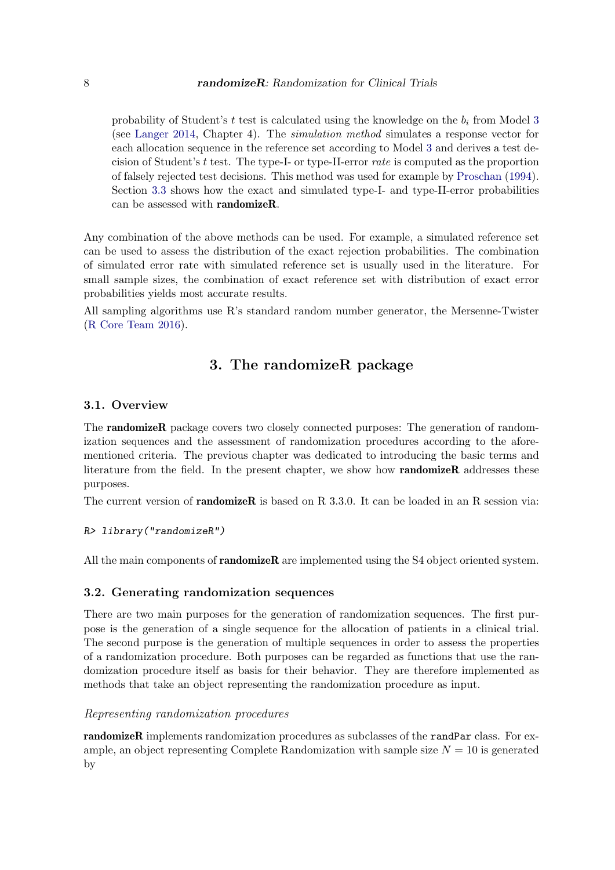probability of Student's t test is calculated using the knowledge on the  $b_i$  from Model [3](#page-2-3) (see [Langer](#page-17-13) [2014,](#page-17-13) Chapter 4). The simulation method simulates a response vector for each allocation sequence in the reference set according to Model [3](#page-2-3) and derives a test decision of Student's t test. The type-I- or type-II-error rate is computed as the proportion of falsely rejected test decisions. This method was used for example by [Proschan](#page-17-8) [\(1994\)](#page-17-8). Section [3.3](#page-12-1) shows how the exact and simulated type-I- and type-II-error probabilities can be assessed with randomizeR.

Any combination of the above methods can be used. For example, a simulated reference set can be used to assess the distribution of the exact rejection probabilities. The combination of simulated error rate with simulated reference set is usually used in the literature. For small sample sizes, the combination of exact reference set with distribution of exact error probabilities yields most accurate results.

All sampling algorithms use R's standard random number generator, the Mersenne-Twister [\(R Core Team](#page-17-14) [2016\)](#page-17-14).

# 3. The randomizeR package

## <span id="page-7-0"></span>3.1. Overview

The randomizeR package covers two closely connected purposes: The generation of randomization sequences and the assessment of randomization procedures according to the aforementioned criteria. The previous chapter was dedicated to introducing the basic terms and literature from the field. In the present chapter, we show how **randomizeR** addresses these purposes.

The current version of **randomizeR** is based on R  $3.3.0$ . It can be loaded in an R session via:

## R> library("randomizeR")

All the main components of **randomizeR** are implemented using the S4 object oriented system.

## 3.2. Generating randomization sequences

There are two main purposes for the generation of randomization sequences. The first purpose is the generation of a single sequence for the allocation of patients in a clinical trial. The second purpose is the generation of multiple sequences in order to assess the properties of a randomization procedure. Both purposes can be regarded as functions that use the randomization procedure itself as basis for their behavior. They are therefore implemented as methods that take an object representing the randomization procedure as input.

## Representing randomization procedures

randomizeR implements randomization procedures as subclasses of the randPar class. For example, an object representing Complete Randomization with sample size  $N = 10$  is generated by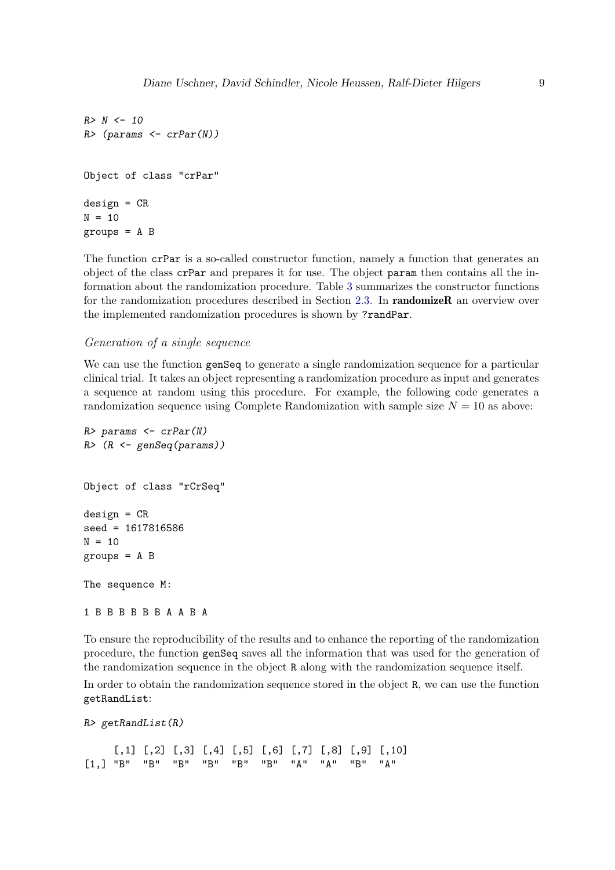```
R > N < - 10R> (params <- crPar(N))
Object of class "crPar"
design = CRN = 10groups = A B
```
The function crPar is a so-called constructor function, namely a function that generates an object of the class crPar and prepares it for use. The object param then contains all the information about the randomization procedure. Table [3](#page-9-0) summarizes the constructor functions for the randomization procedures described in Section [2.3.](#page-3-0) In **randomizeR** an overview over the implemented randomization procedures is shown by ?randPar.

#### <span id="page-8-0"></span>Generation of a single sequence

We can use the function gensed to generate a single randomization sequence for a particular clinical trial. It takes an object representing a randomization procedure as input and generates a sequence at random using this procedure. For example, the following code generates a randomization sequence using Complete Randomization with sample size  $N = 10$  as above:

```
R> params \leq crPar(N)R (R \leftarrow genSeq(params))
Object of class "rCrSeq"
design = CRseed = 1617816586
N = 10groups = A B
The sequence M:
1 B B B B B B A A B A
```
To ensure the reproducibility of the results and to enhance the reporting of the randomization procedure, the function genSeq saves all the information that was used for the generation of the randomization sequence in the object R along with the randomization sequence itself.

In order to obtain the randomization sequence stored in the object R, we can use the function getRandList:

```
R> getRandList(R)
```
 $[0,1]$   $[0,2]$   $[0,3]$   $[0,4]$   $[0,5]$   $[0,6]$   $[0,7]$   $[0,8]$   $[0,9]$   $[0,10]$ [1,] "B" "B" "B" "B" "B" "B" "A" "A" "B" "A"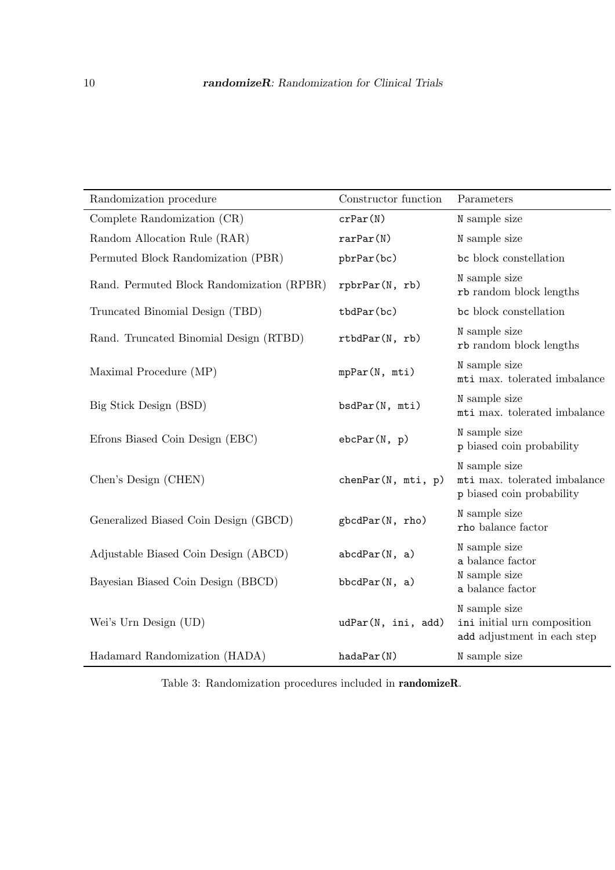<span id="page-9-0"></span>

| Randomization procedure                   | Constructor function | Parameters                                                                  |
|-------------------------------------------|----------------------|-----------------------------------------------------------------------------|
| Complete Randomization (CR)               | crPar(N)             | N sample size                                                               |
| Random Allocation Rule (RAR)              | rarPar(N)            | N sample size                                                               |
| Permuted Block Randomization (PBR)        | pbrPar(bc)           | bc block constellation                                                      |
| Rand. Permuted Block Randomization (RPBR) | rpbrPar(N, rb)       | N sample size<br>rb random block lengths                                    |
| Truncated Binomial Design (TBD)           | tbdPar(bc)           | bc block constellation                                                      |
| Rand. Truncated Binomial Design (RTBD)    | rtbdPar(N, rb)       | N sample size<br>rb random block lengths                                    |
| Maximal Procedure (MP)                    | mpPar(N, mti)        | N sample size<br>mti max. tolerated imbalance                               |
| Big Stick Design (BSD)                    | bsdPar(N, mti)       | N sample size<br>mti max. tolerated imbalance                               |
| Efrons Biased Coin Design (EBC)           | ebcPar(N, p)         | N sample size<br>p biased coin probability                                  |
| Chen's Design (CHEN)                      | chenPar(N, mti, p)   | N sample size<br>mti max. tolerated imbalance<br>p biased coin probability  |
| Generalized Biased Coin Design (GBCD)     | gbcdPar(N, rho)      | N sample size<br>rho balance factor                                         |
| Adjustable Biased Coin Design (ABCD)      | abcdPar(N, a)        | N sample size<br>a balance factor                                           |
| Bayesian Biased Coin Design (BBCD)        | bbcdPar(N, a)        | N sample size<br>a balance factor                                           |
| Wei's Urn Design (UD)                     | udPar(N, ini, add)   | N sample size<br>ini initial urn composition<br>add adjustment in each step |
| Hadamard Randomization (HADA)             | hadaPar(N)           | N sample size                                                               |

Table 3: Randomization procedures included in randomizeR.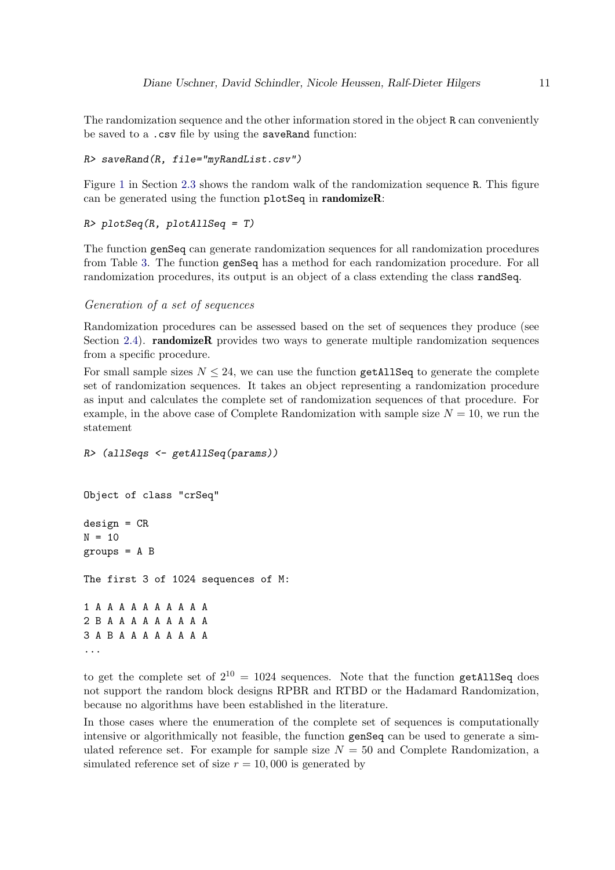The randomization sequence and the other information stored in the object R can conveniently be saved to a .csv file by using the saveRand function:

```
R> saveRand(R, file="myRandList.csv")
```
Figure [1](#page-4-1) in Section [2.3](#page-3-0) shows the random walk of the randomization sequence R. This figure can be generated using the function plotSeq in randomizeR:

```
R> plotSeq(R, plotAllSeq = T)
```
The function genSeq can generate randomization sequences for all randomization procedures from Table [3.](#page-9-0) The function genSeq has a method for each randomization procedure. For all randomization procedures, its output is an object of a class extending the class randSeq.

## <span id="page-10-0"></span>Generation of a set of sequences

Randomization procedures can be assessed based on the set of sequences they produce (see Section [2.4\)](#page-6-0). **randomizeR** provides two ways to generate multiple randomization sequences from a specific procedure.

For small sample sizes  $N \leq 24$ , we can use the function getAllSeq to generate the complete set of randomization sequences. It takes an object representing a randomization procedure as input and calculates the complete set of randomization sequences of that procedure. For example, in the above case of Complete Randomization with sample size  $N = 10$ , we run the statement

```
R> (allSeqs <- getAllSeq(params))
Object of class "crSeq"
design = CRN = 10groups = A B
The first 3 of 1024 sequences of M:
1 A A A A A A A A A A
2 B A A A A A A A A A
3 A B A A A A A A A A
...
```
to get the complete set of  $2^{10} = 1024$  sequences. Note that the function getAllSeq does not support the random block designs RPBR and RTBD or the Hadamard Randomization, because no algorithms have been established in the literature.

In those cases where the enumeration of the complete set of sequences is computationally intensive or algorithmically not feasible, the function genSeq can be used to generate a simulated reference set. For example for sample size  $N = 50$  and Complete Randomization, a simulated reference set of size  $r = 10,000$  is generated by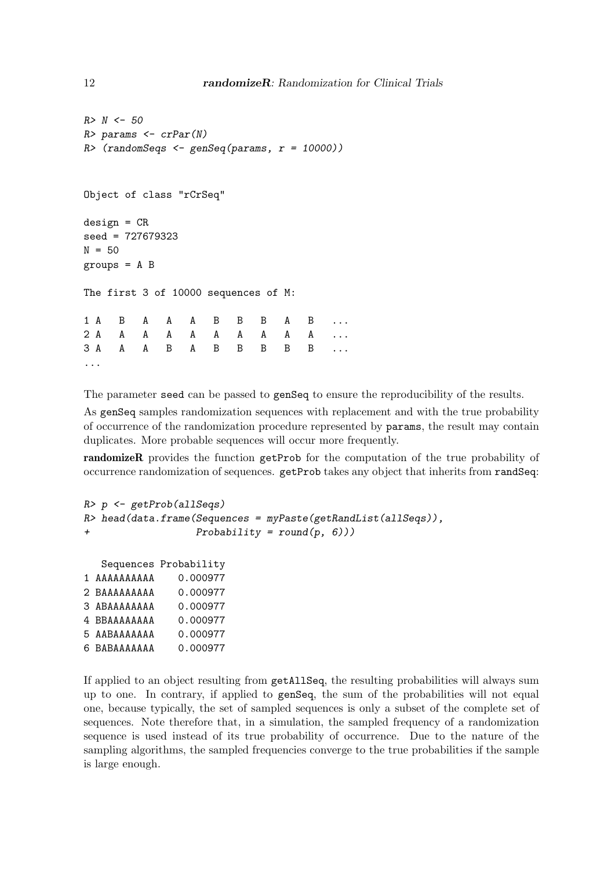```
R > N < - 50R> params \leq crPar(N)
R (randomSeqs <- genSeq(params, r = 10000))
Object of class "rCrSeq"
design = CRseed = 727679323
N = 50groups = A B
The first 3 of 10000 sequences of M:
1 A B A A A B B B A B ...
2 A A A A A A A A A A ...
3 A A A B A B B B B B ...
...
```
The parameter seed can be passed to genSeq to ensure the reproducibility of the results.

As genSeq samples randomization sequences with replacement and with the true probability of occurrence of the randomization procedure represented by params, the result may contain duplicates. More probable sequences will occur more frequently.

randomizeR provides the function getProb for the computation of the true probability of occurrence randomization of sequences. getProb takes any object that inherits from randSeq:

```
R> p <- getProb(allSeqs)
R> head(data.frame(Sequences = myPaste(getRandList(allSeqs)),
+ Probability = round(p, 6)))
  Sequences Probability
1 AAAAAAAAAA 0.000977
2 BAAAAAAAAA 0.000977
3 ABAAAAAAAA 0.000977
4 BBAAAAAAAA 0.000977
5 AABAAAAAAA 0.000977
6 BABAAAAAAA 0.000977
```
If applied to an object resulting from getAllSeq, the resulting probabilities will always sum up to one. In contrary, if applied to genSeq, the sum of the probabilities will not equal one, because typically, the set of sampled sequences is only a subset of the complete set of sequences. Note therefore that, in a simulation, the sampled frequency of a randomization sequence is used instead of its true probability of occurrence. Due to the nature of the sampling algorithms, the sampled frequencies converge to the true probabilities if the sample is large enough.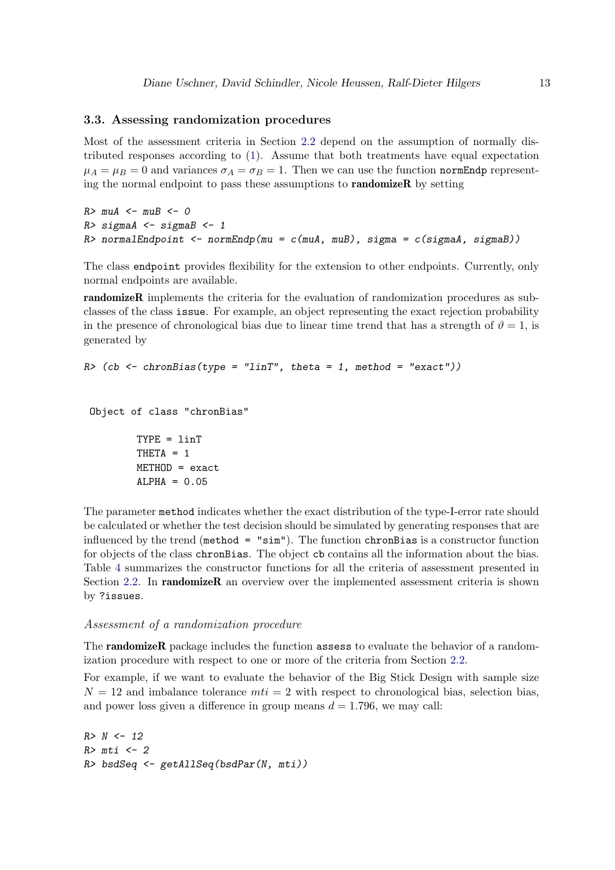## <span id="page-12-1"></span>3.3. Assessing randomization procedures

Most of the assessment criteria in Section [2.2](#page-2-4) depend on the assumption of normally distributed responses according to [\(1\)](#page-1-1). Assume that both treatments have equal expectation  $\mu_A = \mu_B = 0$  and variances  $\sigma_A = \sigma_B = 1$ . Then we can use the function normEndp representing the normal endpoint to pass these assumptions to randomizeR by setting

```
R > muA <- muB <- 0
R> sigmaA <- sigmaB <- 1
R> normalEndpoint <- normEndp(mu = c(muA, muB), sigma = c(sigmaA, sigmaB))
```
The class endpoint provides flexibility for the extension to other endpoints. Currently, only normal endpoints are available.

randomizeR implements the criteria for the evaluation of randomization procedures as subclasses of the class issue. For example, an object representing the exact rejection probability in the presence of chronological bias due to linear time trend that has a strength of  $\vartheta = 1$ , is generated by

```
R \geq (cb \leq chromBias(type = "linT", theta = 1, method = "exact"))
```

```
Object of class "chronBias"
```
TYPE = linT THETA = 1 METHOD = exact  $ALPHA = 0.05$ 

The parameter method indicates whether the exact distribution of the type-I-error rate should be calculated or whether the test decision should be simulated by generating responses that are influenced by the trend (method = "sim"). The function chronBias is a constructor function for objects of the class chronBias. The object cb contains all the information about the bias. Table [4](#page-13-0) summarizes the constructor functions for all the criteria of assessment presented in Section [2.2.](#page-2-4) In **randomizeR** an overview over the implemented assessment criteria is shown by ?issues.

#### <span id="page-12-0"></span>Assessment of a randomization procedure

The **randomizeR** package includes the function **assess** to evaluate the behavior of a randomization procedure with respect to one or more of the criteria from Section [2.2.](#page-2-4)

For example, if we want to evaluate the behavior of the Big Stick Design with sample size  $N = 12$  and imbalance tolerance  $mti = 2$  with respect to chronological bias, selection bias, and power loss given a difference in group means  $d = 1.796$ , we may call:

```
R > N < - 12R>mti < -2R> bsdSeq <- getAllSeq(bsdPar(N, mti))
```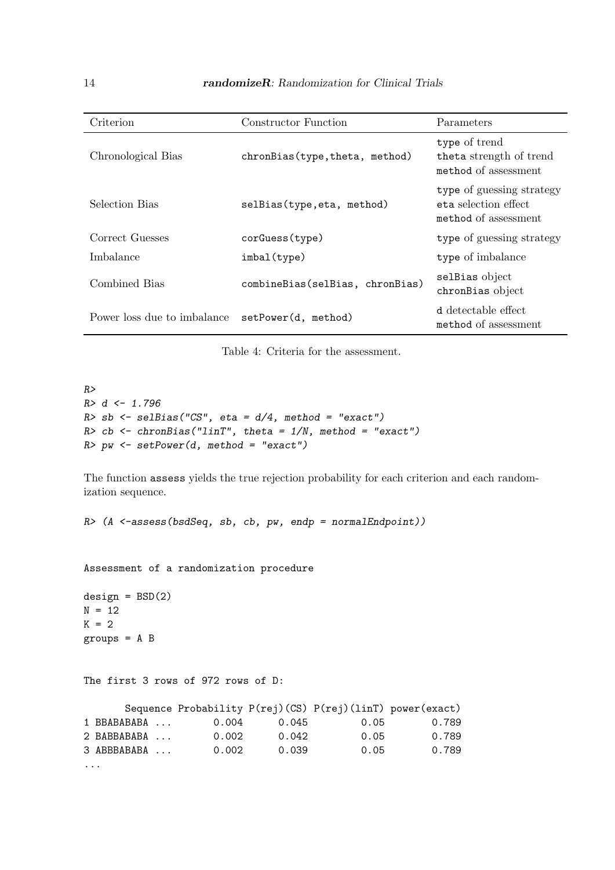<span id="page-13-0"></span>

| Criterion                   | Constructor Function            | Parameters                                                                |
|-----------------------------|---------------------------------|---------------------------------------------------------------------------|
| Chronological Bias          | chronBias(type, theta, method)  | type of trend<br>theta strength of trend<br>method of assessment          |
| Selection Bias              | selBias(type, eta, method)      | type of guessing strategy<br>eta selection effect<br>method of assessment |
| Correct Guesses             | corGuess(type)                  | type of guessing strategy                                                 |
| Imbalance                   | imbal(type)                     | type of imbalance                                                         |
| Combined Bias               | combineBias(selBias, chronBias) | selBias object<br>chronBias object                                        |
| Power loss due to imbalance | setPower(d, method)             | d detectable effect<br>method of assessment                               |

Table 4: Criteria for the assessment.

```
R>R > d < -1.796R> sb <- selBias("CS", eta = d/4, method = "exact")
R> cb <- chronBias("linT", theta = 1/N, method = "exact")
R pw \leq setPower(d, method = "exact")
```
The function assess yields the true rejection probability for each criterion and each randomization sequence.

R> (A <-assess(bsdSeq, sb, cb, pw, endp = normalEndpoint))

Assessment of a randomization procedure

```
design = BSD(2)N = 12K = 2groups = A B
```

```
The first 3 rows of 972 rows of D:
```

|   |             |       |       | Sequence Probability P(rej)(CS) P(rej)(linT) power(exact) |       |
|---|-------------|-------|-------|-----------------------------------------------------------|-------|
|   | 1 BBABABABA | 0.004 | 0.045 | 0.05                                                      | 0.789 |
|   | 2 BABBABABA | 0.002 | 0.042 | 0.05                                                      | 0.789 |
|   | 3 ABBBABABA | 0.002 | 0.039 | 0.05                                                      | 0.789 |
| . |             |       |       |                                                           |       |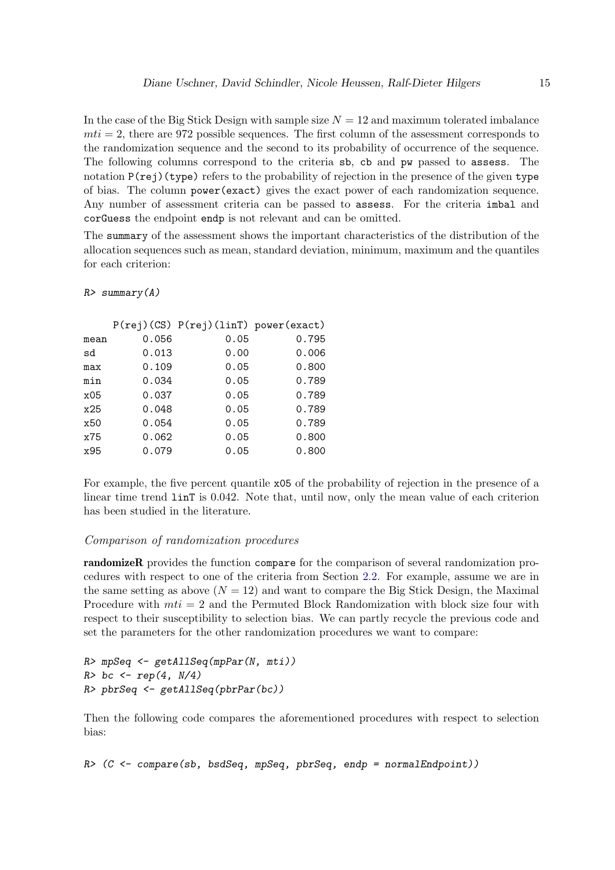In the case of the Big Stick Design with sample size  $N = 12$  and maximum tolerated imbalance  $mti = 2$ , there are 972 possible sequences. The first column of the assessment corresponds to the randomization sequence and the second to its probability of occurrence of the sequence. The following columns correspond to the criteria sb, cb and pw passed to assess. The notation  $P(\text{rej})$  (type) refers to the probability of rejection in the presence of the given type of bias. The column power(exact) gives the exact power of each randomization sequence. Any number of assessment criteria can be passed to assess. For the criteria imbal and corGuess the endpoint endp is not relevant and can be omitted.

The summary of the assessment shows the important characteristics of the distribution of the allocation sequences such as mean, standard deviation, minimum, maximum and the quantiles for each criterion:

## $R$ > summarv $(A)$

| 0.056 | 0.05 | 0.795                                |
|-------|------|--------------------------------------|
| 0.013 | 0.00 | 0.006                                |
| 0.109 | 0.05 | 0.800                                |
| 0.034 | 0.05 | 0.789                                |
| 0.037 | 0.05 | 0.789                                |
| 0.048 | 0.05 | 0.789                                |
| 0.054 | 0.05 | 0.789                                |
| 0.062 | 0.05 | 0.800                                |
| 0.079 | 0.05 | 0.800                                |
|       |      | P(rej)(CS) P(rej)(linT) power(exact) |

For example, the five percent quantile x05 of the probability of rejection in the presence of a linear time trend linT is 0.042. Note that, until now, only the mean value of each criterion has been studied in the literature.

## Comparison of randomization procedures

randomizeR provides the function compare for the comparison of several randomization procedures with respect to one of the criteria from Section [2.2.](#page-2-4) For example, assume we are in the same setting as above  $(N = 12)$  and want to compare the Big Stick Design, the Maximal Procedure with  $mti = 2$  and the Permuted Block Randomization with block size four with respect to their susceptibility to selection bias. We can partly recycle the previous code and set the parameters for the other randomization procedures we want to compare:

```
R> mpSeq <- getAllSeq(mpPar(N, mti))
R> bc \leq rep(4, N/4)
R> pbrSeq <- getAllSeq(pbrPar(bc))
```
Then the following code compares the aforementioned procedures with respect to selection bias:

R> (C <- compare(sb, bsdSeq, mpSeq, pbrSeq, endp = normalEndpoint))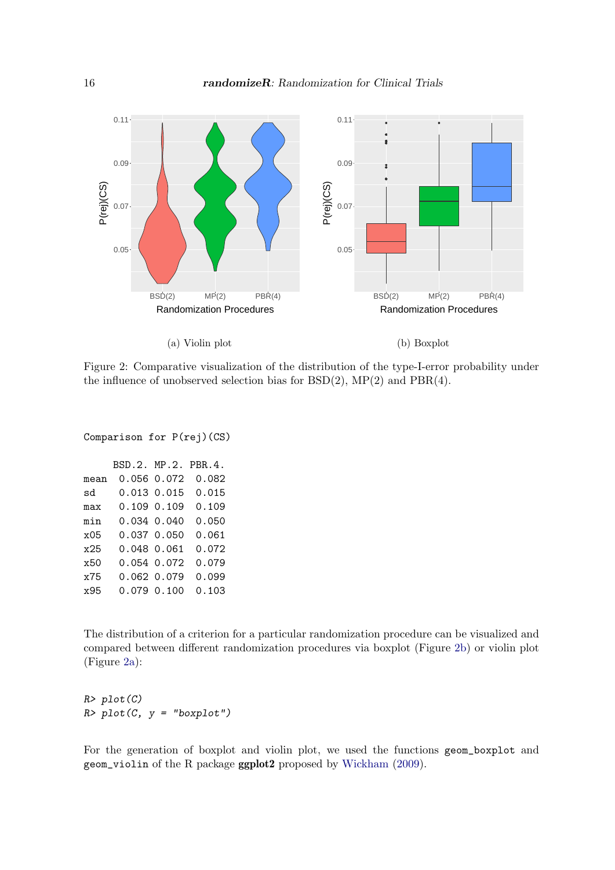<span id="page-15-0"></span>

Figure 2: Comparative visualization of the distribution of the type-I-error probability under the influence of unobserved selection bias for  $BSD(2)$ ,  $MP(2)$  and  $PBR(4)$ .

```
Comparison for P(rej)(CS)
```

|      | BSD.2. MP.2. PBR.4. |                 |       |
|------|---------------------|-----------------|-------|
| mean |                     | 0.056 0.072     | 0.082 |
| sd   |                     | 0.013 0.015     | 0.015 |
| max  |                     | $0.109$ $0.109$ | 0.109 |
| min  |                     | $0.034$ $0.040$ | 0.050 |
| x05  |                     | 0.037 0.050     | 0.061 |
| x25  | 0.048 0.061         |                 | 0.072 |
| x50  |                     | 0.054 0.072     | 0.079 |
| x75  |                     | 0.062 0.079     | 0.099 |
| x95  |                     | 0.079 0.100     | 0.103 |
|      |                     |                 |       |

The distribution of a criterion for a particular randomization procedure can be visualized and compared between different randomization procedures via boxplot (Figure [2b\)](#page-15-0) or violin plot (Figure [2a\)](#page-15-0):

 $R$ >  $plot(C)$  $R$ >  $plot(C, y = "boxplot")$ 

For the generation of boxplot and violin plot, we used the functions geom\_boxplot and geom\_violin of the R package ggplot2 proposed by [Wickham](#page-18-7) [\(2009\)](#page-18-7).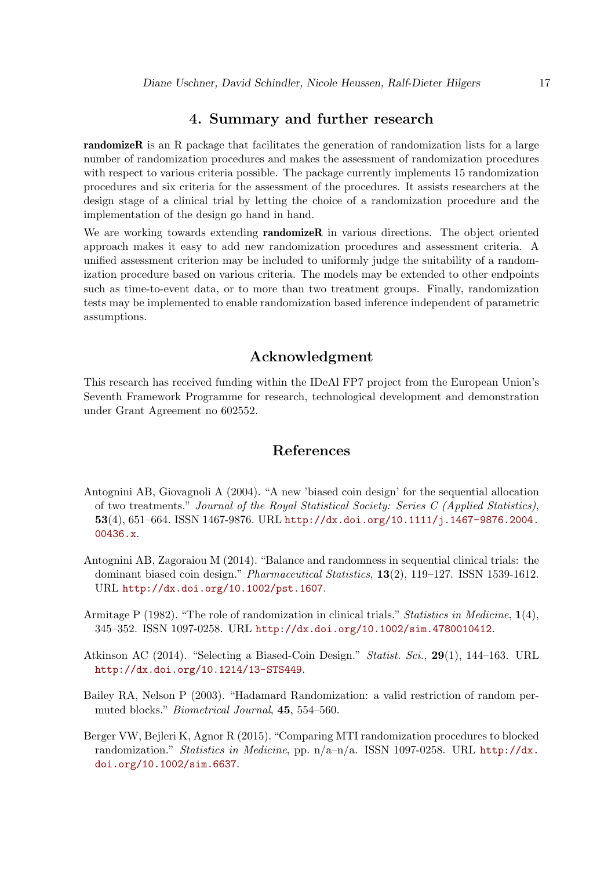# 4. Summary and further research

randomizeR is an R package that facilitates the generation of randomization lists for a large number of randomization procedures and makes the assessment of randomization procedures with respect to various criteria possible. The package currently implements 15 randomization procedures and six criteria for the assessment of the procedures. It assists researchers at the design stage of a clinical trial by letting the choice of a randomization procedure and the implementation of the design go hand in hand.

We are working towards extending **randomizeR** in various directions. The object oriented approach makes it easy to add new randomization procedures and assessment criteria. A unified assessment criterion may be included to uniformly judge the suitability of a randomization procedure based on various criteria. The models may be extended to other endpoints such as time-to-event data, or to more than two treatment groups. Finally, randomization tests may be implemented to enable randomization based inference independent of parametric assumptions.

# Acknowledgment

This research has received funding within the IDeAl FP7 project from the European Union's Seventh Framework Programme for research, technological development and demonstration under Grant Agreement no 602552.

# References

- <span id="page-16-3"></span>Antognini AB, Giovagnoli A (2004). "A new 'biased coin design' for the sequential allocation of two treatments." Journal of the Royal Statistical Society: Series C (Applied Statistics), 53(4), 651–664. ISSN 1467-9876. URL [http://dx.doi.org/10.1111/j.1467-9876.2004.](http://dx.doi.org/10.1111/j.1467-9876.2004.00436.x) [00436.x](http://dx.doi.org/10.1111/j.1467-9876.2004.00436.x).
- <span id="page-16-4"></span>Antognini AB, Zagoraiou M (2014). "Balance and randomness in sequential clinical trials: the dominant biased coin design." Pharmaceutical Statistics, 13(2), 119–127. ISSN 1539-1612. URL <http://dx.doi.org/10.1002/pst.1607>.
- <span id="page-16-0"></span>Armitage P (1982). "The role of randomization in clinical trials." Statistics in Medicine,  $\mathbf{1}(4)$ , 345–352. ISSN 1097-0258. URL <http://dx.doi.org/10.1002/sim.4780010412>.
- <span id="page-16-2"></span>Atkinson AC (2014). "Selecting a Biased-Coin Design." Statist. Sci., 29(1), 144–163. URL <http://dx.doi.org/10.1214/13-STS449>.
- <span id="page-16-5"></span>Bailey RA, Nelson P (2003). "Hadamard Randomization: a valid restriction of random permuted blocks." Biometrical Journal, 45, 554–560.
- <span id="page-16-1"></span>Berger VW, Bejleri K, Agnor R (2015). "Comparing MTI randomization procedures to blocked randomization." Statistics in Medicine, pp. n/a–n/a. ISSN 1097-0258. URL [http://dx.](http://dx.doi.org/10.1002/sim.6637) [doi.org/10.1002/sim.6637](http://dx.doi.org/10.1002/sim.6637).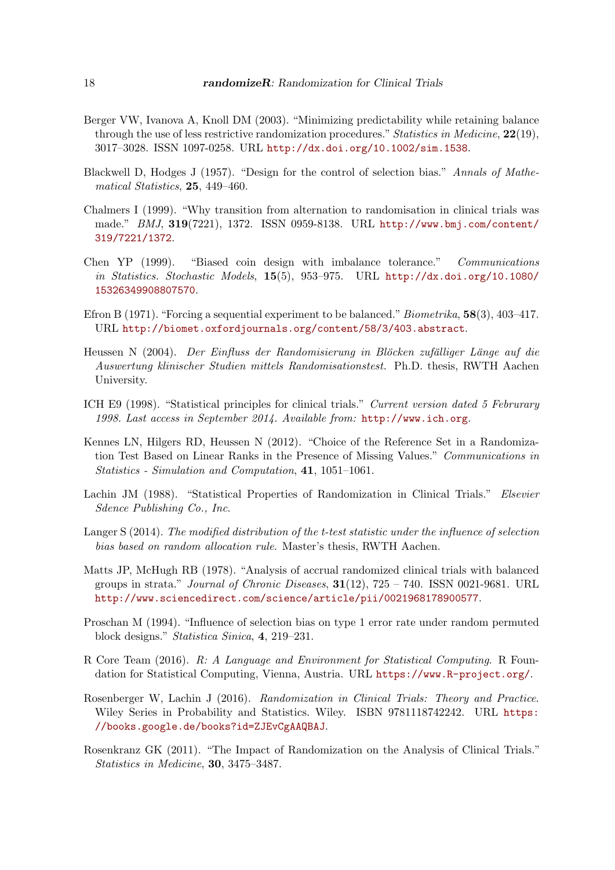- <span id="page-17-11"></span>Berger VW, Ivanova A, Knoll DM (2003). "Minimizing predictability while retaining balance through the use of less restrictive randomization procedures." Statistics in Medicine,  $22(19)$ , 3017–3028. ISSN 1097-0258. URL <http://dx.doi.org/10.1002/sim.1538>.
- <span id="page-17-7"></span>Blackwell D, Hodges J (1957). "Design for the control of selection bias." Annals of Mathematical Statistics, 25, 449–460.
- <span id="page-17-0"></span>Chalmers I (1999). "Why transition from alternation to randomisation in clinical trials was made." BMJ, 319(7221), 1372. ISSN 0959-8138. URL [http://www.bmj.com/content/](http://www.bmj.com/content/319/7221/1372) [319/7221/1372](http://www.bmj.com/content/319/7221/1372).
- <span id="page-17-12"></span>Chen YP (1999). "Biased coin design with imbalance tolerance." Communications in Statistics. Stochastic Models, 15(5), 953–975. URL [http://dx.doi.org/10.1080/](http://dx.doi.org/10.1080/15326349908807570) [15326349908807570](http://dx.doi.org/10.1080/15326349908807570).
- <span id="page-17-5"></span>Efron B (1971). "Forcing a sequential experiment to be balanced." Biometrika, 58(3), 403–417. URL <http://biomet.oxfordjournals.org/content/58/3/403.abstract>.
- <span id="page-17-10"></span>Heussen N (2004). Der Einfluss der Randomisierung in Blöcken zufälliger Länge auf die Auswertung klinischer Studien mittels Randomisationstest. Ph.D. thesis, RWTH Aachen University.
- <span id="page-17-1"></span>ICH E9 (1998). "Statistical principles for clinical trials." Current version dated 5 Februrary 1998. Last access in September 2014. Available from: <http://www.ich.org>.
- <span id="page-17-3"></span>Kennes LN, Hilgers RD, Heussen N (2012). "Choice of the Reference Set in a Randomization Test Based on Linear Ranks in the Presence of Missing Values." Communications in Statistics - Simulation and Computation, 41, 1051–1061.
- <span id="page-17-9"></span>Lachin JM (1988). "Statistical Properties of Randomization in Clinical Trials." Elsevier Sdence Publishing Co., Inc.
- <span id="page-17-13"></span>Langer S (2014). The modified distribution of the t-test statistic under the influence of selection bias based on random allocation rule. Master's thesis, RWTH Aachen.
- <span id="page-17-4"></span>Matts JP, McHugh RB (1978). "Analysis of accrual randomized clinical trials with balanced groups in strata." Journal of Chronic Diseases,  $31(12)$ ,  $725 - 740$ . ISSN 0021-9681. URL <http://www.sciencedirect.com/science/article/pii/0021968178900577>.
- <span id="page-17-8"></span>Proschan M (1994). "Influence of selection bias on type 1 error rate under random permuted block designs." Statistica Sinica, 4, 219–231.
- <span id="page-17-14"></span>R Core Team (2016). R: A Language and Environment for Statistical Computing. R Foundation for Statistical Computing, Vienna, Austria. URL <https://www.R-project.org/>.
- <span id="page-17-2"></span>Rosenberger W, Lachin J (2016). Randomization in Clinical Trials: Theory and Practice. Wiley Series in Probability and Statistics. Wiley. ISBN 9781118742242. URL [https:](https://books.google.de/books?id=ZJEvCgAAQBAJ) [//books.google.de/books?id=ZJEvCgAAQBAJ](https://books.google.de/books?id=ZJEvCgAAQBAJ).
- <span id="page-17-6"></span>Rosenkranz GK (2011). "The Impact of Randomization on the Analysis of Clinical Trials." Statistics in Medicine, 30, 3475–3487.